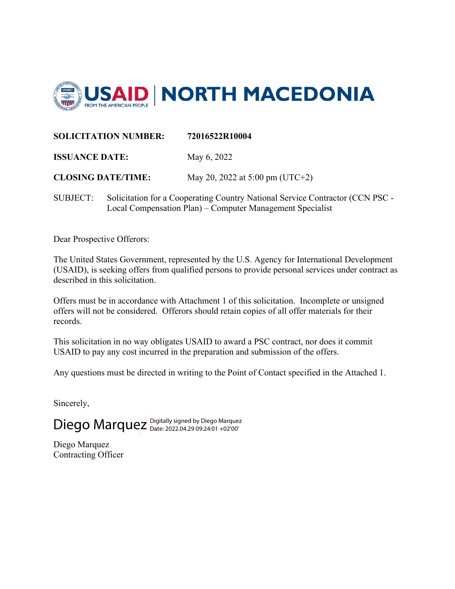

#### **SOLICITATION NUMBER: 72016522R10004**

**ISSUANCE DATE:** May 6, 2022

**CLOSING DATE/TIME:** May 20, 2022 at 5:00 pm (UTC+2)

SUBJECT: Solicitation for a Cooperating Country National Service Contractor (CCN PSC - Local Compensation Plan) – Computer Management Specialist

Dear Prospective Offerors:

The United States Government, represented by the U.S. Agency for International Development (USAID), is seeking offers from qualified persons to provide personal services under contract as described in this solicitation.

Offers must be in accordance with Attachment 1 of this solicitation. Incomplete or unsigned offers will not be considered. Offerors should retain copies of all offer materials for their records.

This solicitation in no way obligates USAID to award a PSC contract, nor does it commit USAID to pay any cost incurred in the preparation and submission of the offers.

Any questions must be directed in writing to the Point of Contact specified in the Attached 1.

Sincerely,

Diego Marquez Digitally signed by Diego Marquez

Diego Marquez Contracting Officer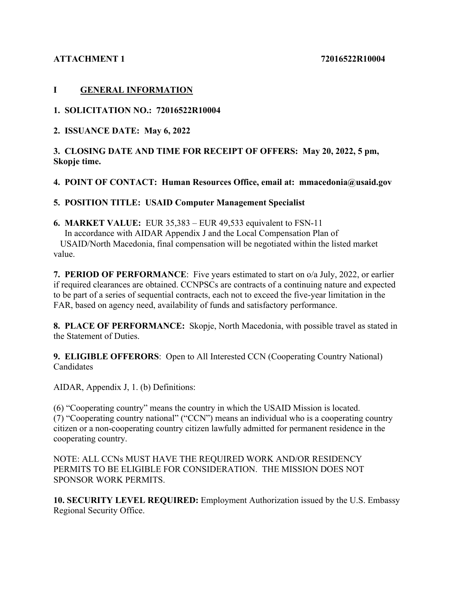### **ATTACHMENT 1 72016522R10004**

### **I GENERAL INFORMATION**

**1. SOLICITATION NO.: 72016522R10004** 

**2. ISSUANCE DATE: May 6, 2022** 

### **3. CLOSING DATE AND TIME FOR RECEIPT OF OFFERS: May 20, 2022, 5 pm, Skopje time.**

## **4. POINT OF CONTACT: Human Resources Office, email at: mmacedonia@usaid.gov**

## **5. POSITION TITLE: USAID Computer Management Specialist**

**6. MARKET VALUE:** EUR 35,383 – EUR 49,533 equivalent to FSN-11 In accordance with AIDAR Appendix J and the Local Compensation Plan of USAID/North Macedonia, final compensation will be negotiated within the listed market value.

**7. PERIOD OF PERFORMANCE**: Five years estimated to start on o/a July, 2022, or earlier if required clearances are obtained. CCNPSCs are contracts of a continuing nature and expected to be part of a series of sequential contracts, each not to exceed the five-year limitation in the FAR, based on agency need, availability of funds and satisfactory performance.

**8. PLACE OF PERFORMANCE:** Skopje, North Macedonia, with possible travel as stated in the Statement of Duties.

**9. ELIGIBLE OFFERORS**: Open to All Interested CCN (Cooperating Country National) Candidates

AIDAR, Appendix J, 1. (b) Definitions:

(6) "Cooperating country" means the country in which the USAID Mission is located. (7) "Cooperating country national" ("CCN") means an individual who is a cooperating country citizen or a non-cooperating country citizen lawfully admitted for permanent residence in the cooperating country.

NOTE: ALL CCNs MUST HAVE THE REQUIRED WORK AND/OR RESIDENCY PERMITS TO BE ELIGIBLE FOR CONSIDERATION. THE MISSION DOES NOT SPONSOR WORK PERMITS.

**10. SECURITY LEVEL REQUIRED:** Employment Authorization issued by the U.S. Embassy Regional Security Office.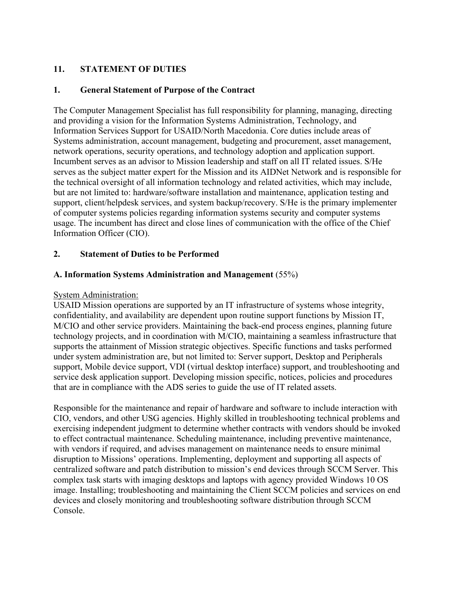## **11. STATEMENT OF DUTIES**

#### **1. General Statement of Purpose of the Contract**

The Computer Management Specialist has full responsibility for planning, managing, directing and providing a vision for the Information Systems Administration, Technology, and Information Services Support for USAID/North Macedonia. Core duties include areas of Systems administration, account management, budgeting and procurement, asset management, network operations, security operations, and technology adoption and application support. Incumbent serves as an advisor to Mission leadership and staff on all IT related issues. S/He serves as the subject matter expert for the Mission and its AIDNet Network and is responsible for the technical oversight of all information technology and related activities, which may include, but are not limited to: hardware/software installation and maintenance, application testing and support, client/helpdesk services, and system backup/recovery. S/He is the primary implementer of computer systems policies regarding information systems security and computer systems usage. The incumbent has direct and close lines of communication with the office of the Chief Information Officer (CIO).

#### **2. Statement of Duties to be Performed**

#### **A. Information Systems Administration and Management** (55%)

#### System Administration:

USAID Mission operations are supported by an IT infrastructure of systems whose integrity, confidentiality, and availability are dependent upon routine support functions by Mission IT, M/CIO and other service providers. Maintaining the back-end process engines, planning future technology projects, and in coordination with M/CIO, maintaining a seamless infrastructure that supports the attainment of Mission strategic objectives. Specific functions and tasks performed under system administration are, but not limited to: Server support, Desktop and Peripherals support, Mobile device support, VDI (virtual desktop interface) support, and troubleshooting and service desk application support. Developing mission specific, notices, policies and procedures that are in compliance with the ADS series to guide the use of IT related assets.

Responsible for the maintenance and repair of hardware and software to include interaction with CIO, vendors, and other USG agencies. Highly skilled in troubleshooting technical problems and exercising independent judgment to determine whether contracts with vendors should be invoked to effect contractual maintenance. Scheduling maintenance, including preventive maintenance, with vendors if required, and advises management on maintenance needs to ensure minimal disruption to Missions' operations. Implementing, deployment and supporting all aspects of centralized software and patch distribution to mission's end devices through SCCM Server. This complex task starts with imaging desktops and laptops with agency provided Windows 10 OS image. Installing; troubleshooting and maintaining the Client SCCM policies and services on end devices and closely monitoring and troubleshooting software distribution through SCCM Console.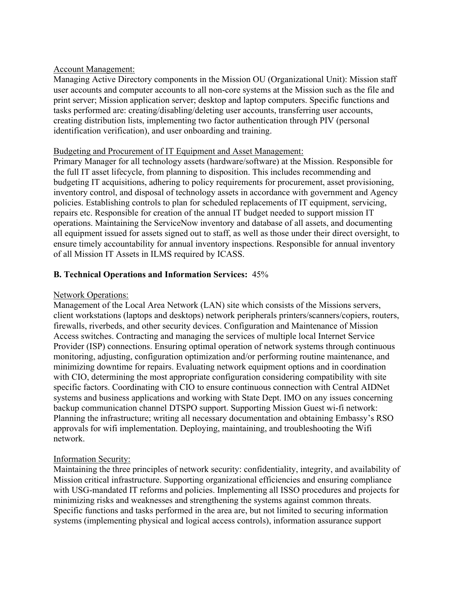#### Account Management:

Managing Active Directory components in the Mission OU (Organizational Unit): Mission staff user accounts and computer accounts to all non-core systems at the Mission such as the file and print server; Mission application server; desktop and laptop computers. Specific functions and tasks performed are: creating/disabling/deleting user accounts, transferring user accounts, creating distribution lists, implementing two factor authentication through PIV (personal identification verification), and user onboarding and training.

#### Budgeting and Procurement of IT Equipment and Asset Management:

Primary Manager for all technology assets (hardware/software) at the Mission. Responsible for the full IT asset lifecycle, from planning to disposition. This includes recommending and budgeting IT acquisitions, adhering to policy requirements for procurement, asset provisioning, inventory control, and disposal of technology assets in accordance with government and Agency policies. Establishing controls to plan for scheduled replacements of IT equipment, servicing, repairs etc. Responsible for creation of the annual IT budget needed to support mission IT operations. Maintaining the ServiceNow inventory and database of all assets, and documenting all equipment issued for assets signed out to staff, as well as those under their direct oversight, to ensure timely accountability for annual inventory inspections. Responsible for annual inventory of all Mission IT Assets in ILMS required by ICASS.

### **B. Technical Operations and Information Services:** 45%

### Network Operations:

Management of the Local Area Network (LAN) site which consists of the Missions servers, client workstations (laptops and desktops) network peripherals printers/scanners/copiers, routers, firewalls, riverbeds, and other security devices. Configuration and Maintenance of Mission Access switches. Contracting and managing the services of multiple local Internet Service Provider (ISP) connections. Ensuring optimal operation of network systems through continuous monitoring, adjusting, configuration optimization and/or performing routine maintenance, and minimizing downtime for repairs. Evaluating network equipment options and in coordination with CIO, determining the most appropriate configuration considering compatibility with site specific factors. Coordinating with CIO to ensure continuous connection with Central AIDNet systems and business applications and working with State Dept. IMO on any issues concerning backup communication channel DTSPO support. Supporting Mission Guest wi-fi network: Planning the infrastructure; writing all necessary documentation and obtaining Embassy's RSO approvals for wifi implementation. Deploying, maintaining, and troubleshooting the Wifi network.

### Information Security:

Maintaining the three principles of network security: confidentiality, integrity, and availability of Mission critical infrastructure. Supporting organizational efficiencies and ensuring compliance with USG-mandated IT reforms and policies. Implementing all ISSO procedures and projects for minimizing risks and weaknesses and strengthening the systems against common threats. Specific functions and tasks performed in the area are, but not limited to securing information systems (implementing physical and logical access controls), information assurance support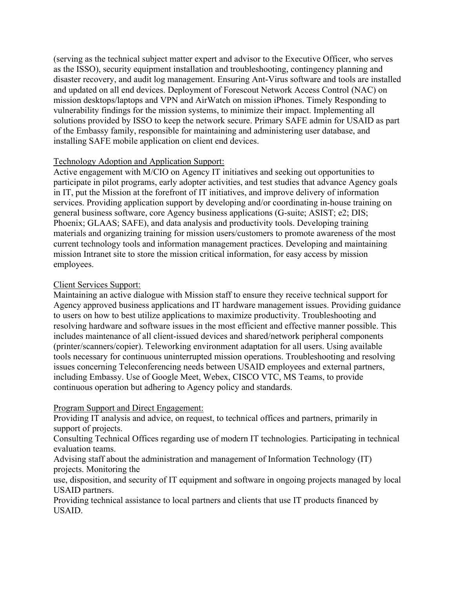(serving as the technical subject matter expert and advisor to the Executive Officer, who serves as the ISSO), security equipment installation and troubleshooting, contingency planning and disaster recovery, and audit log management. Ensuring Ant-Virus software and tools are installed and updated on all end devices. Deployment of Forescout Network Access Control (NAC) on mission desktops/laptops and VPN and AirWatch on mission iPhones. Timely Responding to vulnerability findings for the mission systems, to minimize their impact. Implementing all solutions provided by ISSO to keep the network secure. Primary SAFE admin for USAID as part of the Embassy family, responsible for maintaining and administering user database, and installing SAFE mobile application on client end devices.

#### Technology Adoption and Application Support:

Active engagement with M/CIO on Agency IT initiatives and seeking out opportunities to participate in pilot programs, early adopter activities, and test studies that advance Agency goals in IT, put the Mission at the forefront of IT initiatives, and improve delivery of information services. Providing application support by developing and/or coordinating in-house training on general business software, core Agency business applications (G-suite; ASIST; e2; DIS; Phoenix; GLAAS; SAFE), and data analysis and productivity tools. Developing training materials and organizing training for mission users/customers to promote awareness of the most current technology tools and information management practices. Developing and maintaining mission Intranet site to store the mission critical information, for easy access by mission employees.

#### Client Services Support:

Maintaining an active dialogue with Mission staff to ensure they receive technical support for Agency approved business applications and IT hardware management issues. Providing guidance to users on how to best utilize applications to maximize productivity. Troubleshooting and resolving hardware and software issues in the most efficient and effective manner possible. This includes maintenance of all client-issued devices and shared/network peripheral components (printer/scanners/copier). Teleworking environment adaptation for all users. Using available tools necessary for continuous uninterrupted mission operations. Troubleshooting and resolving issues concerning Teleconferencing needs between USAID employees and external partners, including Embassy. Use of Google Meet, Webex, CISCO VTC, MS Teams, to provide continuous operation but adhering to Agency policy and standards.

#### Program Support and Direct Engagement:

Providing IT analysis and advice, on request, to technical offices and partners, primarily in support of projects.

Consulting Technical Offices regarding use of modern IT technologies. Participating in technical evaluation teams.

Advising staff about the administration and management of Information Technology (IT) projects. Monitoring the

use, disposition, and security of IT equipment and software in ongoing projects managed by local USAID partners.

Providing technical assistance to local partners and clients that use IT products financed by USAID.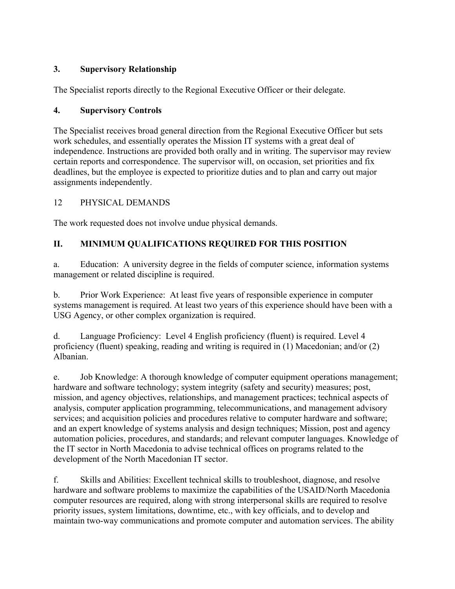# **3. Supervisory Relationship**

The Specialist reports directly to the Regional Executive Officer or their delegate.

## **4. Supervisory Controls**

The Specialist receives broad general direction from the Regional Executive Officer but sets work schedules, and essentially operates the Mission IT systems with a great deal of independence. Instructions are provided both orally and in writing. The supervisor may review certain reports and correspondence. The supervisor will, on occasion, set priorities and fix deadlines, but the employee is expected to prioritize duties and to plan and carry out major assignments independently.

# 12 PHYSICAL DEMANDS

The work requested does not involve undue physical demands.

# **II. MINIMUM QUALIFICATIONS REQUIRED FOR THIS POSITION**

a. Education: A university degree in the fields of computer science, information systems management or related discipline is required.

b. Prior Work Experience: At least five years of responsible experience in computer systems management is required. At least two years of this experience should have been with a USG Agency, or other complex organization is required.

d. Language Proficiency: Level 4 English proficiency (fluent) is required. Level 4 proficiency (fluent) speaking, reading and writing is required in (1) Macedonian; and/or (2) Albanian.

e. Job Knowledge: A thorough knowledge of computer equipment operations management; hardware and software technology; system integrity (safety and security) measures; post, mission, and agency objectives, relationships, and management practices; technical aspects of analysis, computer application programming, telecommunications, and management advisory services; and acquisition policies and procedures relative to computer hardware and software; and an expert knowledge of systems analysis and design techniques; Mission, post and agency automation policies, procedures, and standards; and relevant computer languages. Knowledge of the IT sector in North Macedonia to advise technical offices on programs related to the development of the North Macedonian IT sector.

f. Skills and Abilities: Excellent technical skills to troubleshoot, diagnose, and resolve hardware and software problems to maximize the capabilities of the USAID/North Macedonia computer resources are required, along with strong interpersonal skills are required to resolve priority issues, system limitations, downtime, etc., with key officials, and to develop and maintain two-way communications and promote computer and automation services. The ability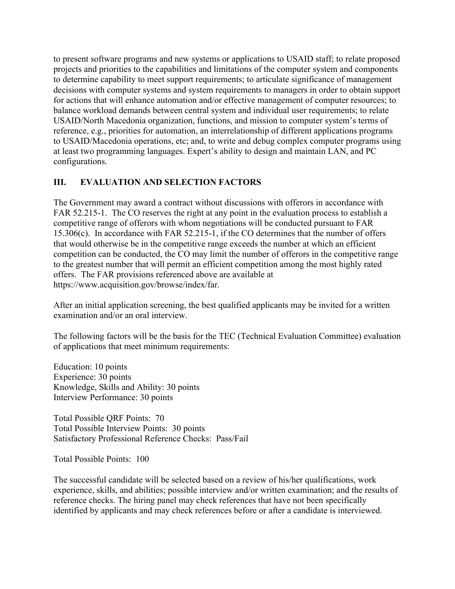to present software programs and new systems or applications to USAID staff; to relate proposed projects and priorities to the capabilities and limitations of the computer system and components to determine capability to meet support requirements; to articulate significance of management decisions with computer systems and system requirements to managers in order to obtain support for actions that will enhance automation and/or effective management of computer resources; to balance workload demands between central system and individual user requirements; to relate USAID/North Macedonia organization, functions, and mission to computer system's terms of reference, e.g., priorities for automation, an interrelationship of different applications programs to USAID/Macedonia operations, etc; and, to write and debug complex computer programs using at least two programming languages. Expert's ability to design and maintain LAN, and PC configurations.

# **III. EVALUATION AND SELECTION FACTORS**

The Government may award a contract without discussions with offerors in accordance with FAR 52.215-1. The CO reserves the right at any point in the evaluation process to establish a competitive range of offerors with whom negotiations will be conducted pursuant to FAR 15.306(c). In accordance with FAR 52.215-1, if the CO determines that the number of offers that would otherwise be in the competitive range exceeds the number at which an efficient competition can be conducted, the CO may limit the number of offerors in the competitive range to the greatest number that will permit an efficient competition among the most highly rated offers. The FAR provisions referenced above are available at https://www.acquisition.gov/browse/index/far.

After an initial application screening, the best qualified applicants may be invited for a written examination and/or an oral interview.

The following factors will be the basis for the TEC (Technical Evaluation Committee) evaluation of applications that meet minimum requirements:

Education: 10 points Experience: 30 points Knowledge, Skills and Ability: 30 points Interview Performance: 30 points

Total Possible QRF Points: 70 Total Possible Interview Points: 30 points Satisfactory Professional Reference Checks: Pass/Fail

Total Possible Points: 100

The successful candidate will be selected based on a review of his/her qualifications, work experience, skills, and abilities; possible interview and/or written examination; and the results of reference checks. The hiring panel may check references that have not been specifically identified by applicants and may check references before or after a candidate is interviewed.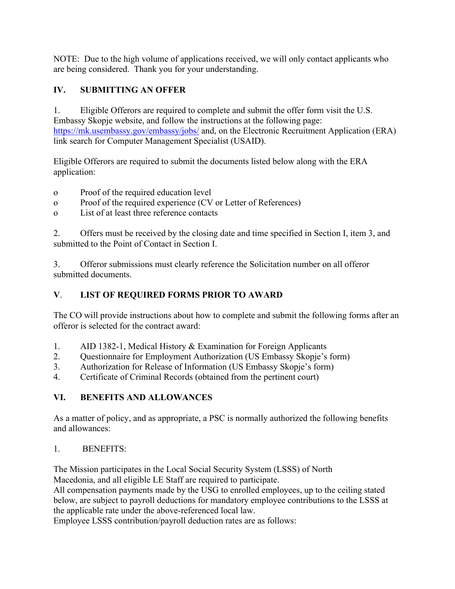NOTE: Due to the high volume of applications received, we will only contact applicants who are being considered. Thank you for your understanding.

# **IV. SUBMITTING AN OFFER**

1. Eligible Offerors are required to complete and submit the offer form visit the U.S. Embassy Skopje website, and follow the instructions at the following page: <https://mk.usembassy.gov/embassy/jobs/> and, on the Electronic Recruitment Application (ERA) link search for Computer Management Specialist (USAID).

Eligible Offerors are required to submit the documents listed below along with the ERA application:

- o Proof of the required education level
- o Proof of the required experience (CV or Letter of References)
- o List of at least three reference contacts

2. Offers must be received by the closing date and time specified in Section I, item 3, and submitted to the Point of Contact in Section I.

3. Offeror submissions must clearly reference the Solicitation number on all offeror submitted documents.

# **V**. **LIST OF REQUIRED FORMS PRIOR TO AWARD**

The CO will provide instructions about how to complete and submit the following forms after an offeror is selected for the contract award:

- 1. AID 1382-1, Medical History & Examination for Foreign Applicants
- 2. Questionnaire for Employment Authorization (US Embassy Skopje's form)
- 3. Authorization for Release of Information (US Embassy Skopje's form)
- 4. Certificate of Criminal Records (obtained from the pertinent court)

# **VI. BENEFITS AND ALLOWANCES**

As a matter of policy, and as appropriate, a PSC is normally authorized the following benefits and allowances:

# 1. BENEFITS:

The Mission participates in the Local Social Security System (LSSS) of North Macedonia, and all eligible LE Staff are required to participate.

All compensation payments made by the USG to enrolled employees, up to the ceiling stated below, are subject to payroll deductions for mandatory employee contributions to the LSSS at the applicable rate under the above-referenced local law.

Employee LSSS contribution/payroll deduction rates are as follows: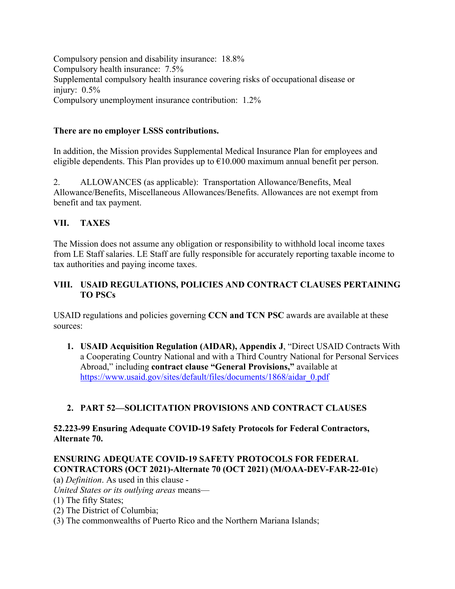Compulsory pension and disability insurance: 18.8% Compulsory health insurance: 7.5% Supplemental compulsory health insurance covering risks of occupational disease or injury: 0.5% Compulsory unemployment insurance contribution: 1.2%

## **There are no employer LSSS contributions.**

In addition, the Mission provides Supplemental Medical Insurance Plan for employees and eligible dependents. This Plan provides up to  $\epsilon$ 10.000 maximum annual benefit per person.

2. ALLOWANCES (as applicable): Transportation Allowance/Benefits, Meal Allowance/Benefits, Miscellaneous Allowances/Benefits. Allowances are not exempt from benefit and tax payment.

# **VII. TAXES**

The Mission does not assume any obligation or responsibility to withhold local income taxes from LE Staff salaries. LE Staff are fully responsible for accurately reporting taxable income to tax authorities and paying income taxes.

## **VIII. USAID REGULATIONS, POLICIES AND CONTRACT CLAUSES PERTAINING TO PSCs**

USAID regulations and policies governing **CCN and TCN PSC** awards are available at these sources:

**1. USAID Acquisition Regulation (AIDAR), Appendix J**, "Direct USAID Contracts With a Cooperating Country National and with a Third Country National for Personal Services Abroad," including **contract clause "General Provisions,"** available at [https://www.usaid.gov/sites/default/files/documents/1868/aidar\\_0.pdf](https://www.usaid.gov/sites/default/files/documents/1868/aidar_0.pdf) 

# **2. PART 52—SOLICITATION PROVISIONS AND CONTRACT CLAUSES**

## **52.223-99 Ensuring Adequate COVID-19 Safety Protocols for Federal Contractors, Alternate 70.**

# **ENSURING ADEQUATE COVID-19 SAFETY PROTOCOLS FOR FEDERAL CONTRACTORS (OCT 2021)-Alternate 70 (OCT 2021) (M/OAA-DEV-FAR-22-01c**)

(a) *Definition*. As used in this clause -

*United States or its outlying areas* means—

- (1) The fifty States;
- (2) The District of Columbia;
- (3) The commonwealths of Puerto Rico and the Northern Mariana Islands;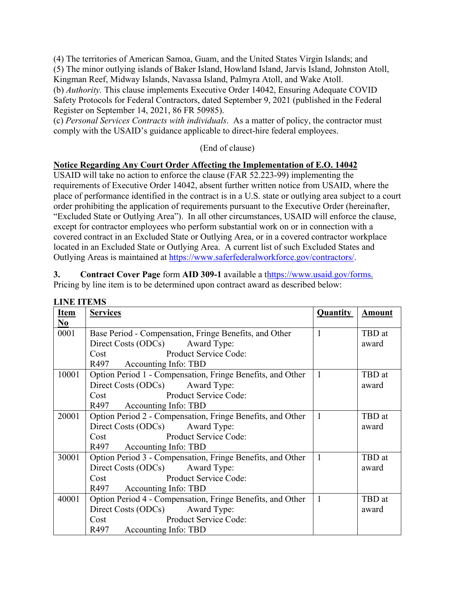(4) The territories of American Samoa, Guam, and the United States Virgin Islands; and (5) The minor outlying islands of Baker Island, Howland Island, Jarvis Island, Johnston Atoll, Kingman Reef, Midway Islands, Navassa Island, Palmyra Atoll, and Wake Atoll. (b) *Authority.* This clause implements Executive Order 14042, Ensuring Adequate COVID Safety Protocols for Federal Contractors, dated September 9, 2021 (published in the Federal Register on September 14, 2021, 86 FR 50985).

(c) *Personal Services Contracts with individuals*. As a matter of policy, the contractor must comply with the USAID's guidance applicable to direct-hire federal employees.

(End of clause)

### **Notice Regarding Any Court Order Affecting the Implementation of E.O. 14042**

USAID will take no action to enforce the clause (FAR 52.223-99) implementing the requirements of Executive Order 14042, absent further written notice from USAID, where the place of performance identified in the contract is in a U.S. state or outlying area subject to a court order prohibiting the application of requirements pursuant to the Executive Order (hereinafter, "Excluded State or Outlying Area"). In all other circumstances, USAID will enforce the clause, except for contractor employees who perform substantial work on or in connection with a covered contract in an Excluded State or Outlying Area, or in a covered contractor workplace located in an Excluded State or Outlying Area. A current list of such Excluded States and Outlying Areas is maintained at [https://www.saferfederalworkforce.gov/contractors/.](https://www.saferfederalworkforce.gov/contractors/)

**3. Contract Cover Page** form **AID 309-1** available a [thttps://www.usaid.gov/forms.](https://www.usaid.gov/forms) Pricing by line item is to be determined upon contract award as described below:

| <b>Item</b> | <b>Services</b>                                            | <b>Quantity</b> | <b>Amount</b> |
|-------------|------------------------------------------------------------|-----------------|---------------|
| No          |                                                            |                 |               |
| 0001        | Base Period - Compensation, Fringe Benefits, and Other     | $\mathbf{1}$    | TBD at        |
|             | Direct Costs (ODCs) Award Type:                            |                 | award         |
|             | Product Service Code:<br>Cost                              |                 |               |
|             | R497 Accounting Info: TBD                                  |                 |               |
| 10001       | Option Period 1 - Compensation, Fringe Benefits, and Other | 1               | TBD at        |
|             | Direct Costs (ODCs) Award Type:                            |                 | award         |
|             | Product Service Code:<br>Cost                              |                 |               |
|             | R497 Accounting Info: TBD                                  |                 |               |
| 20001       | Option Period 2 - Compensation, Fringe Benefits, and Other | $\mathbf{1}$    | TBD at        |
|             | Direct Costs (ODCs) Award Type:                            |                 | award         |
|             | Product Service Code:<br>Cost                              |                 |               |
|             | R497 Accounting Info: TBD                                  |                 |               |
| 30001       | Option Period 3 - Compensation, Fringe Benefits, and Other | $\mathbf{1}$    | TBD at        |
|             | Direct Costs (ODCs) Award Type:                            |                 | award         |
|             | Product Service Code:<br>Cost                              |                 |               |
|             | R497 Accounting Info: TBD                                  |                 |               |
| 40001       | Option Period 4 - Compensation, Fringe Benefits, and Other | 1               | TBD at        |
|             | Direct Costs (ODCs) Award Type:                            |                 | award         |
|             | Product Service Code:<br>Cost                              |                 |               |
|             | R497 Accounting Info: TBD                                  |                 |               |

#### **LINE ITEMS**